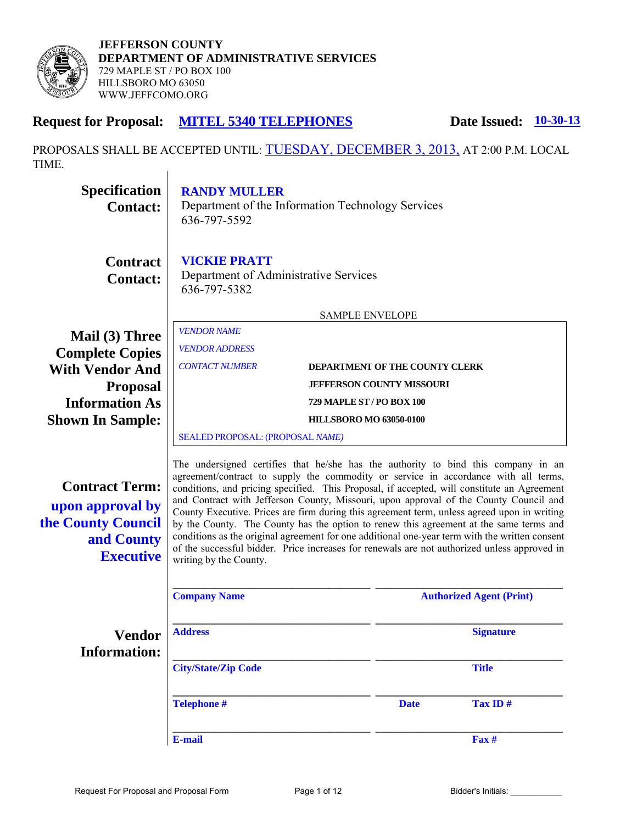

**JEFFERSON COUNTY DEPARTMENT OF ADMINISTRATIVE SERVICES**  729 MAPLE ST / PO BOX 100 HILLSBORO MO 63050 WWW.JEFFCOMO.ORG

# **Request for Proposal: MITEL 5340 TELEPHONES** Date Issued:  $\frac{10-30-13}{20}$

PROPOSALS SHALL BE ACCEPTED UNTIL: TUESDAY, DECEMBER 3, 2013, AT 2:00 P.M. LOCAL TIME. $\mathbf{I}$ 

| <b>Specification</b><br><b>Contact:</b>                                                           | <b>RANDY MULLER</b><br>Department of the Information Technology Services<br>636-797-5592                                                                                                                                                                                                                                                                                                                                                                                                                                                                                                                                                                                                                                                                                               |                                                                    |                                 |  |
|---------------------------------------------------------------------------------------------------|----------------------------------------------------------------------------------------------------------------------------------------------------------------------------------------------------------------------------------------------------------------------------------------------------------------------------------------------------------------------------------------------------------------------------------------------------------------------------------------------------------------------------------------------------------------------------------------------------------------------------------------------------------------------------------------------------------------------------------------------------------------------------------------|--------------------------------------------------------------------|---------------------------------|--|
| <b>Contract</b><br><b>Contact:</b>                                                                | <b>VICKIE PRATT</b><br>Department of Administrative Services<br>636-797-5382                                                                                                                                                                                                                                                                                                                                                                                                                                                                                                                                                                                                                                                                                                           |                                                                    |                                 |  |
|                                                                                                   |                                                                                                                                                                                                                                                                                                                                                                                                                                                                                                                                                                                                                                                                                                                                                                                        | <b>SAMPLE ENVELOPE</b>                                             |                                 |  |
| Mail (3) Three<br><b>Complete Copies</b><br><b>With Vendor And</b><br><b>Proposal</b>             | <b>VENDOR NAME</b><br><b>VENDOR ADDRESS</b><br><b>CONTACT NUMBER</b>                                                                                                                                                                                                                                                                                                                                                                                                                                                                                                                                                                                                                                                                                                                   | DEPARTMENT OF THE COUNTY CLERK<br><b>JEFFERSON COUNTY MISSOURI</b> |                                 |  |
| <b>Information As</b>                                                                             |                                                                                                                                                                                                                                                                                                                                                                                                                                                                                                                                                                                                                                                                                                                                                                                        | 729 MAPLE ST / PO BOX 100                                          |                                 |  |
| <b>Shown In Sample:</b>                                                                           | <b>HILLSBORO MO 63050-0100</b>                                                                                                                                                                                                                                                                                                                                                                                                                                                                                                                                                                                                                                                                                                                                                         |                                                                    |                                 |  |
|                                                                                                   | SEALED PROPOSAL: (PROPOSAL NAME)                                                                                                                                                                                                                                                                                                                                                                                                                                                                                                                                                                                                                                                                                                                                                       |                                                                    |                                 |  |
| <b>Contract Term:</b><br>upon approval by<br>the County Council<br>and County<br><b>Executive</b> | The undersigned certifies that he/she has the authority to bind this company in an<br>agreement/contract to supply the commodity or service in accordance with all terms,<br>conditions, and pricing specified. This Proposal, if accepted, will constitute an Agreement<br>and Contract with Jefferson County, Missouri, upon approval of the County Council and<br>County Executive. Prices are firm during this agreement term, unless agreed upon in writing<br>by the County. The County has the option to renew this agreement at the same terms and<br>conditions as the original agreement for one additional one-year term with the written consent<br>of the successful bidder. Price increases for renewals are not authorized unless approved in<br>writing by the County. |                                                                    |                                 |  |
|                                                                                                   | <b>Company Name</b>                                                                                                                                                                                                                                                                                                                                                                                                                                                                                                                                                                                                                                                                                                                                                                    |                                                                    | <b>Authorized Agent (Print)</b> |  |
| Vendor<br><b>Information:</b>                                                                     | <b>Address</b>                                                                                                                                                                                                                                                                                                                                                                                                                                                                                                                                                                                                                                                                                                                                                                         |                                                                    | <b>Signature</b>                |  |
|                                                                                                   | <b>City/State/Zip Code</b>                                                                                                                                                                                                                                                                                                                                                                                                                                                                                                                                                                                                                                                                                                                                                             |                                                                    | <b>Title</b>                    |  |
|                                                                                                   | <b>Telephone #</b>                                                                                                                                                                                                                                                                                                                                                                                                                                                                                                                                                                                                                                                                                                                                                                     | <b>Date</b>                                                        | Tax ID#                         |  |
|                                                                                                   | <b>E-mail</b>                                                                                                                                                                                                                                                                                                                                                                                                                                                                                                                                                                                                                                                                                                                                                                          |                                                                    | $\mathbf{Fax}$ #                |  |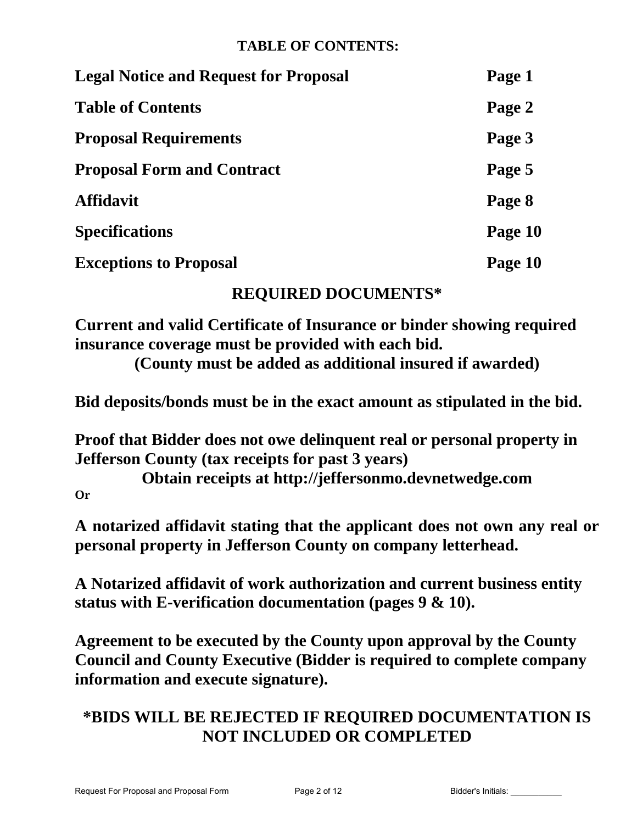# **TABLE OF CONTENTS:**

| <b>Legal Notice and Request for Proposal</b> | Page 1  |
|----------------------------------------------|---------|
| <b>Table of Contents</b>                     | Page 2  |
| <b>Proposal Requirements</b>                 | Page 3  |
| <b>Proposal Form and Contract</b>            | Page 5  |
| <b>Affidavit</b>                             | Page 8  |
| <b>Specifications</b>                        | Page 10 |
| <b>Exceptions to Proposal</b>                | Page 10 |

# **REQUIRED DOCUMENTS\***

**Current and valid Certificate of Insurance or binder showing required insurance coverage must be provided with each bid.** 

**(County must be added as additional insured if awarded)** 

**Bid deposits/bonds must be in the exact amount as stipulated in the bid.** 

**Proof that Bidder does not owe delinquent real or personal property in Jefferson County (tax receipts for past 3 years)** 

**Obtain receipts at http://jeffersonmo.devnetwedge.com** 

**Or** 

**A notarized affidavit stating that the applicant does not own any real or personal property in Jefferson County on company letterhead.** 

**A Notarized affidavit of work authorization and current business entity status with E-verification documentation (pages 9 & 10).** 

**Agreement to be executed by the County upon approval by the County Council and County Executive (Bidder is required to complete company information and execute signature).** 

# **\*BIDS WILL BE REJECTED IF REQUIRED DOCUMENTATION IS NOT INCLUDED OR COMPLETED**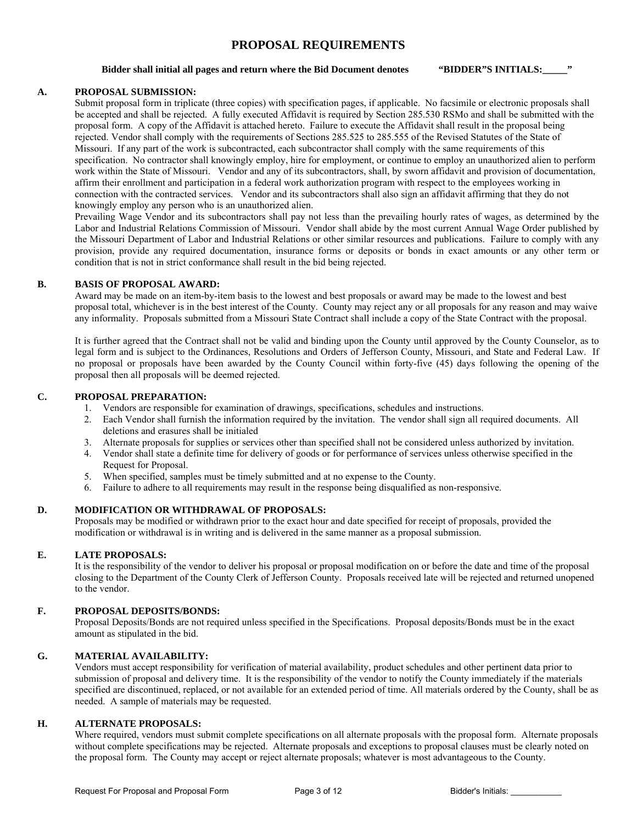### **PROPOSAL REQUIREMENTS**

#### Bidder shall initial all pages and return where the Bid Document denotes "BIDDER"S INITIALS: \_\_\_\_\_"

#### **A. PROPOSAL SUBMISSION:**

Submit proposal form in triplicate (three copies) with specification pages, if applicable. No facsimile or electronic proposals shall be accepted and shall be rejected. A fully executed Affidavit is required by Section 285.530 RSMo and shall be submitted with the proposal form. A copy of the Affidavit is attached hereto. Failure to execute the Affidavit shall result in the proposal being rejected. Vendor shall comply with the requirements of Sections 285.525 to 285.555 of the Revised Statutes of the State of Missouri. If any part of the work is subcontracted, each subcontractor shall comply with the same requirements of this specification. No contractor shall knowingly employ, hire for employment, or continue to employ an unauthorized alien to perform work within the State of Missouri. Vendor and any of its subcontractors, shall, by sworn affidavit and provision of documentation, affirm their enrollment and participation in a federal work authorization program with respect to the employees working in connection with the contracted services. Vendor and its subcontractors shall also sign an affidavit affirming that they do not knowingly employ any person who is an unauthorized alien.

Prevailing Wage Vendor and its subcontractors shall pay not less than the prevailing hourly rates of wages, as determined by the Labor and Industrial Relations Commission of Missouri. Vendor shall abide by the most current Annual Wage Order published by the Missouri Department of Labor and Industrial Relations or other similar resources and publications. Failure to comply with any provision, provide any required documentation, insurance forms or deposits or bonds in exact amounts or any other term or condition that is not in strict conformance shall result in the bid being rejected.

#### **B. BASIS OF PROPOSAL AWARD:**

Award may be made on an item-by-item basis to the lowest and best proposals or award may be made to the lowest and best proposal total, whichever is in the best interest of the County. County may reject any or all proposals for any reason and may waive any informality. Proposals submitted from a Missouri State Contract shall include a copy of the State Contract with the proposal.

It is further agreed that the Contract shall not be valid and binding upon the County until approved by the County Counselor, as to legal form and is subject to the Ordinances, Resolutions and Orders of Jefferson County, Missouri, and State and Federal Law. If no proposal or proposals have been awarded by the County Council within forty-five (45) days following the opening of the proposal then all proposals will be deemed rejected.

#### **C. PROPOSAL PREPARATION:**

- 1. Vendors are responsible for examination of drawings, specifications, schedules and instructions.
- 2. Each Vendor shall furnish the information required by the invitation. The vendor shall sign all required documents. All deletions and erasures shall be initialed
- 3. Alternate proposals for supplies or services other than specified shall not be considered unless authorized by invitation.
- 4. Vendor shall state a definite time for delivery of goods or for performance of services unless otherwise specified in the Request for Proposal.
- 5. When specified, samples must be timely submitted and at no expense to the County.
- 6. Failure to adhere to all requirements may result in the response being disqualified as non-responsive.

#### **D. MODIFICATION OR WITHDRAWAL OF PROPOSALS:**

Proposals may be modified or withdrawn prior to the exact hour and date specified for receipt of proposals, provided the modification or withdrawal is in writing and is delivered in the same manner as a proposal submission.

#### **E. LATE PROPOSALS:**

It is the responsibility of the vendor to deliver his proposal or proposal modification on or before the date and time of the proposal closing to the Department of the County Clerk of Jefferson County. Proposals received late will be rejected and returned unopened to the vendor.

#### **F. PROPOSAL DEPOSITS/BONDS:**

Proposal Deposits/Bonds are not required unless specified in the Specifications. Proposal deposits/Bonds must be in the exact amount as stipulated in the bid.

#### **G. MATERIAL AVAILABILITY:**

Vendors must accept responsibility for verification of material availability, product schedules and other pertinent data prior to submission of proposal and delivery time. It is the responsibility of the vendor to notify the County immediately if the materials specified are discontinued, replaced, or not available for an extended period of time. All materials ordered by the County, shall be as needed. A sample of materials may be requested.

#### **H. ALTERNATE PROPOSALS:**

Where required, vendors must submit complete specifications on all alternate proposals with the proposal form. Alternate proposals without complete specifications may be rejected. Alternate proposals and exceptions to proposal clauses must be clearly noted on the proposal form. The County may accept or reject alternate proposals; whatever is most advantageous to the County.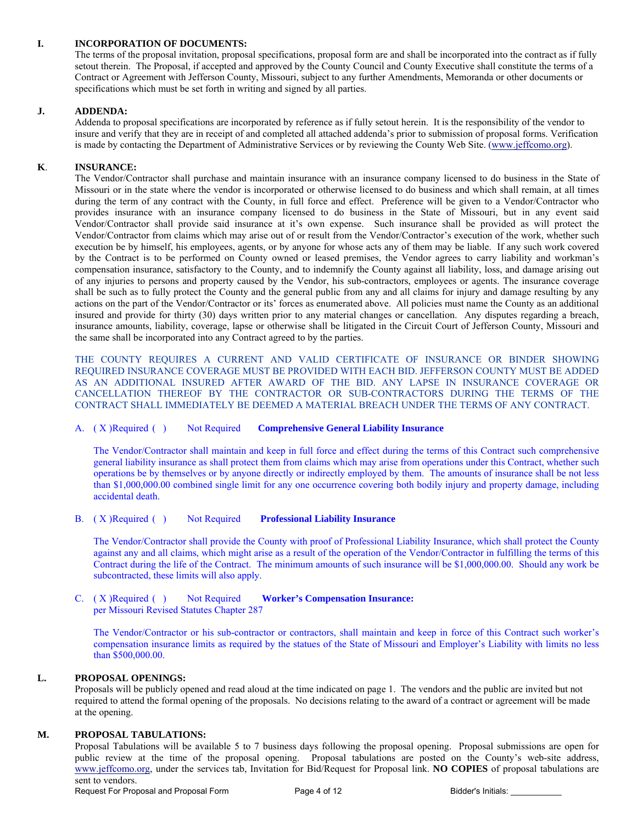#### **I. INCORPORATION OF DOCUMENTS:**

 The terms of the proposal invitation, proposal specifications, proposal form are and shall be incorporated into the contract as if fully setout therein.The Proposal, if accepted and approved by the County Council and County Executive shall constitute the terms of a Contract or Agreement with Jefferson County, Missouri, subject to any further Amendments, Memoranda or other documents or specifications which must be set forth in writing and signed by all parties.

#### **J. ADDENDA:**

Addenda to proposal specifications are incorporated by reference as if fully setout herein. It is the responsibility of the vendor to insure and verify that they are in receipt of and completed all attached addenda's prior to submission of proposal forms. Verification is made by contacting the Department of Administrative Services or by reviewing the County Web Site. (www.jeffcomo.org).

#### **K**. **INSURANCE:**

 The Vendor/Contractor shall purchase and maintain insurance with an insurance company licensed to do business in the State of Missouri or in the state where the vendor is incorporated or otherwise licensed to do business and which shall remain, at all times during the term of any contract with the County, in full force and effect. Preference will be given to a Vendor/Contractor who provides insurance with an insurance company licensed to do business in the State of Missouri, but in any event said Vendor/Contractor shall provide said insurance at it's own expense. Such insurance shall be provided as will protect the Vendor/Contractor from claims which may arise out of or result from the Vendor/Contractor's execution of the work, whether such execution be by himself, his employees, agents, or by anyone for whose acts any of them may be liable. If any such work covered by the Contract is to be performed on County owned or leased premises, the Vendor agrees to carry liability and workman's compensation insurance, satisfactory to the County, and to indemnify the County against all liability, loss, and damage arising out of any injuries to persons and property caused by the Vendor, his sub-contractors, employees or agents. The insurance coverage shall be such as to fully protect the County and the general public from any and all claims for injury and damage resulting by any actions on the part of the Vendor/Contractor or its' forces as enumerated above. All policies must name the County as an additional insured and provide for thirty (30) days written prior to any material changes or cancellation. Any disputes regarding a breach, insurance amounts, liability, coverage, lapse or otherwise shall be litigated in the Circuit Court of Jefferson County, Missouri and the same shall be incorporated into any Contract agreed to by the parties.

 THE COUNTY REQUIRES A CURRENT AND VALID CERTIFICATE OF INSURANCE OR BINDER SHOWING REQUIRED INSURANCE COVERAGE MUST BE PROVIDED WITH EACH BID. JEFFERSON COUNTY MUST BE ADDED AS AN ADDITIONAL INSURED AFTER AWARD OF THE BID. ANY LAPSE IN INSURANCE COVERAGE OR CANCELLATION THEREOF BY THE CONTRACTOR OR SUB-CONTRACTORS DURING THE TERMS OF THE CONTRACT SHALL IMMEDIATELY BE DEEMED A MATERIAL BREACH UNDER THE TERMS OF ANY CONTRACT.

#### A. ( X ) Required ( ) Not Required **Comprehensive General Liability Insurance**

 The Vendor/Contractor shall maintain and keep in full force and effect during the terms of this Contract such comprehensive general liability insurance as shall protect them from claims which may arise from operations under this Contract, whether such operations be by themselves or by anyone directly or indirectly employed by them. The amounts of insurance shall be not less than \$1,000,000.00 combined single limit for any one occurrence covering both bodily injury and property damage, including accidental death.

#### B. ( X ) Required ( ) Not Required **Professional Liability Insurance**

 The Vendor/Contractor shall provide the County with proof of Professional Liability Insurance, which shall protect the County against any and all claims, which might arise as a result of the operation of the Vendor/Contractor in fulfilling the terms of this Contract during the life of the Contract. The minimum amounts of such insurance will be \$1,000,000.00. Should any work be subcontracted, these limits will also apply.

#### C. ( X ) Required ( ) Not Required **Worker's Compensation Insurance:**  per Missouri Revised Statutes Chapter 287

 The Vendor/Contractor or his sub-contractor or contractors, shall maintain and keep in force of this Contract such worker's compensation insurance limits as required by the statues of the State of Missouri and Employer's Liability with limits no less than \$500,000.00.

#### **L. PROPOSAL OPENINGS:**

Proposals will be publicly opened and read aloud at the time indicated on page 1. The vendors and the public are invited but not required to attend the formal opening of the proposals. No decisions relating to the award of a contract or agreement will be made at the opening.

#### **M. PROPOSAL TABULATIONS:**

Proposal Tabulations will be available 5 to 7 business days following the proposal opening. Proposal submissions are open for public review at the time of the proposal opening. Proposal tabulations are posted on the County's web-site address, www.jeffcomo.org, under the services tab, Invitation for Bid/Request for Proposal link. **NO COPIES** of proposal tabulations are sent to vendors.

Request For Proposal and Proposal Form Page 4 of 12 Bidder's Initials: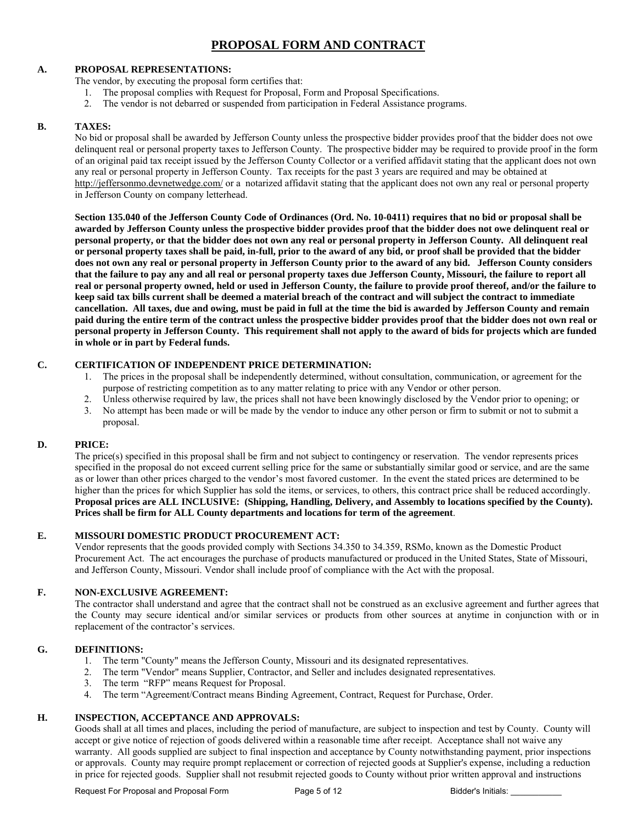## **PROPOSAL FORM AND CONTRACT**

#### **A. PROPOSAL REPRESENTATIONS:**

The vendor, by executing the proposal form certifies that:

- 1. The proposal complies with Request for Proposal, Form and Proposal Specifications.
- 2. The vendor is not debarred or suspended from participation in Federal Assistance programs.

#### **B. TAXES:**

No bid or proposal shall be awarded by Jefferson County unless the prospective bidder provides proof that the bidder does not owe delinquent real or personal property taxes to Jefferson County. The prospective bidder may be required to provide proof in the form of an original paid tax receipt issued by the Jefferson County Collector or a verified affidavit stating that the applicant does not own any real or personal property in Jefferson County. Tax receipts for the past 3 years are required and may be obtained at http://jeffersonmo.devnetwedge.com/ or a notarized affidavit stating that the applicant does not own any real or personal property in Jefferson County on company letterhead.

**Section 135.040 of the Jefferson County Code of Ordinances (Ord. No. 10-0411) requires that no bid or proposal shall be awarded by Jefferson County unless the prospective bidder provides proof that the bidder does not owe delinquent real or personal property, or that the bidder does not own any real or personal property in Jefferson County. All delinquent real or personal property taxes shall be paid, in-full, prior to the award of any bid, or proof shall be provided that the bidder does not own any real or personal property in Jefferson County prior to the award of any bid. Jefferson County considers that the failure to pay any and all real or personal property taxes due Jefferson County, Missouri, the failure to report all real or personal property owned, held or used in Jefferson County, the failure to provide proof thereof, and/or the failure to keep said tax bills current shall be deemed a material breach of the contract and will subject the contract to immediate cancellation. All taxes, due and owing, must be paid in full at the time the bid is awarded by Jefferson County and remain paid during the entire term of the contract unless the prospective bidder provides proof that the bidder does not own real or personal property in Jefferson County. This requirement shall not apply to the award of bids for projects which are funded in whole or in part by Federal funds.** 

#### **C. CERTIFICATION OF INDEPENDENT PRICE DETERMINATION:**

- 1. The prices in the proposal shall be independently determined, without consultation, communication, or agreement for the purpose of restricting competition as to any matter relating to price with any Vendor or other person.
- 2. Unless otherwise required by law, the prices shall not have been knowingly disclosed by the Vendor prior to opening; or
- 3. No attempt has been made or will be made by the vendor to induce any other person or firm to submit or not to submit a proposal.

#### **D. PRICE:**

The price(s) specified in this proposal shall be firm and not subject to contingency or reservation. The vendor represents prices specified in the proposal do not exceed current selling price for the same or substantially similar good or service, and are the same as or lower than other prices charged to the vendor's most favored customer. In the event the stated prices are determined to be higher than the prices for which Supplier has sold the items, or services, to others, this contract price shall be reduced accordingly. **Proposal prices are ALL INCLUSIVE: (Shipping, Handling, Delivery, and Assembly to locations specified by the County). Prices shall be firm for ALL County departments and locations for term of the agreement**.

#### **E. MISSOURI DOMESTIC PRODUCT PROCUREMENT ACT:**

Vendor represents that the goods provided comply with Sections 34.350 to 34.359, RSMo, known as the Domestic Product Procurement Act. The act encourages the purchase of products manufactured or produced in the United States, State of Missouri, and Jefferson County, Missouri. Vendor shall include proof of compliance with the Act with the proposal.

#### **F. NON-EXCLUSIVE AGREEMENT:**

The contractor shall understand and agree that the contract shall not be construed as an exclusive agreement and further agrees that the County may secure identical and/or similar services or products from other sources at anytime in conjunction with or in replacement of the contractor's services.

#### **G. DEFINITIONS:**

- 1. The term "County" means the Jefferson County, Missouri and its designated representatives.<br>
2. The term "Vendor" means Sunnlier. Contractor. and Seller and includes designated represent
- 2. The term "Vendor" means Supplier, Contractor, and Seller and includes designated representatives.
- 3. The term "RFP" means Request for Proposal.
- 4. The term "Agreement/Contract means Binding Agreement, Contract, Request for Purchase, Order.

#### **H. INSPECTION, ACCEPTANCE AND APPROVALS:**

Goods shall at all times and places, including the period of manufacture, are subject to inspection and test by County. County will accept or give notice of rejection of goods delivered within a reasonable time after receipt. Acceptance shall not waive any warranty. All goods supplied are subject to final inspection and acceptance by County notwithstanding payment, prior inspections or approvals. County may require prompt replacement or correction of rejected goods at Supplier's expense, including a reduction in price for rejected goods. Supplier shall not resubmit rejected goods to County without prior written approval and instructions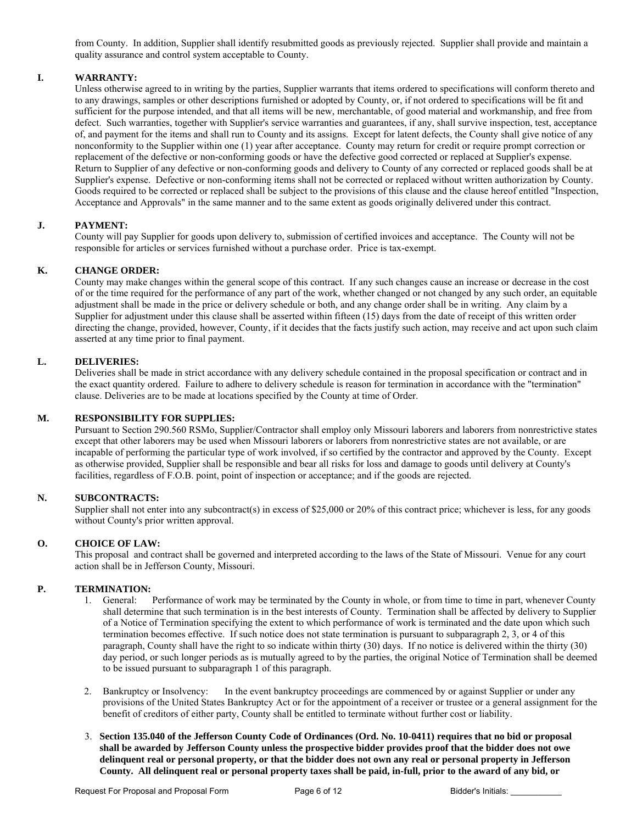from County. In addition, Supplier shall identify resubmitted goods as previously rejected. Supplier shall provide and maintain a quality assurance and control system acceptable to County.

#### **I. WARRANTY:**

Unless otherwise agreed to in writing by the parties, Supplier warrants that items ordered to specifications will conform thereto and to any drawings, samples or other descriptions furnished or adopted by County, or, if not ordered to specifications will be fit and sufficient for the purpose intended, and that all items will be new, merchantable, of good material and workmanship, and free from defect. Such warranties, together with Supplier's service warranties and guarantees, if any, shall survive inspection, test, acceptance of, and payment for the items and shall run to County and its assigns. Except for latent defects, the County shall give notice of any nonconformity to the Supplier within one (1) year after acceptance. County may return for credit or require prompt correction or replacement of the defective or non-conforming goods or have the defective good corrected or replaced at Supplier's expense. Return to Supplier of any defective or non-conforming goods and delivery to County of any corrected or replaced goods shall be at Supplier's expense. Defective or non-conforming items shall not be corrected or replaced without written authorization by County. Goods required to be corrected or replaced shall be subject to the provisions of this clause and the clause hereof entitled "Inspection, Acceptance and Approvals" in the same manner and to the same extent as goods originally delivered under this contract.

#### **J. PAYMENT:**

County will pay Supplier for goods upon delivery to, submission of certified invoices and acceptance. The County will not be responsible for articles or services furnished without a purchase order. Price is tax-exempt.

#### **K. CHANGE ORDER:**

County may make changes within the general scope of this contract. If any such changes cause an increase or decrease in the cost of or the time required for the performance of any part of the work, whether changed or not changed by any such order, an equitable adjustment shall be made in the price or delivery schedule or both, and any change order shall be in writing. Any claim by a Supplier for adjustment under this clause shall be asserted within fifteen (15) days from the date of receipt of this written order directing the change, provided, however, County, if it decides that the facts justify such action, may receive and act upon such claim asserted at any time prior to final payment.

#### **L. DELIVERIES:**

Deliveries shall be made in strict accordance with any delivery schedule contained in the proposal specification or contract and in the exact quantity ordered. Failure to adhere to delivery schedule is reason for termination in accordance with the "termination" clause. Deliveries are to be made at locations specified by the County at time of Order.

#### **M. RESPONSIBILITY FOR SUPPLIES:**

Pursuant to Section 290.560 RSMo, Supplier/Contractor shall employ only Missouri laborers and laborers from nonrestrictive states except that other laborers may be used when Missouri laborers or laborers from nonrestrictive states are not available, or are incapable of performing the particular type of work involved, if so certified by the contractor and approved by the County. Except as otherwise provided, Supplier shall be responsible and bear all risks for loss and damage to goods until delivery at County's facilities, regardless of F.O.B. point, point of inspection or acceptance; and if the goods are rejected.

#### **N. SUBCONTRACTS:**

Supplier shall not enter into any subcontract(s) in excess of \$25,000 or 20% of this contract price; whichever is less, for any goods without County's prior written approval.

#### **O. CHOICE OF LAW:**

This proposal and contract shall be governed and interpreted according to the laws of the State of Missouri. Venue for any court action shall be in Jefferson County, Missouri.

# **P. TERMINATION: 1.** General:

- Performance of work may be terminated by the County in whole, or from time to time in part, whenever County shall determine that such termination is in the best interests of County. Termination shall be affected by delivery to Supplier of a Notice of Termination specifying the extent to which performance of work is terminated and the date upon which such termination becomes effective. If such notice does not state termination is pursuant to subparagraph 2, 3, or 4 of this paragraph, County shall have the right to so indicate within thirty (30) days. If no notice is delivered within the thirty (30) day period, or such longer periods as is mutually agreed to by the parties, the original Notice of Termination shall be deemed to be issued pursuant to subparagraph 1 of this paragraph.
- 2. Bankruptcy or Insolvency: In the event bankruptcy proceedings are commenced by or against Supplier or under any provisions of the United States Bankruptcy Act or for the appointment of a receiver or trustee or a general assignment for the benefit of creditors of either party, County shall be entitled to terminate without further cost or liability.
- 3. **Section 135.040 of the Jefferson County Code of Ordinances (Ord. No. 10-0411) requires that no bid or proposal shall be awarded by Jefferson County unless the prospective bidder provides proof that the bidder does not owe delinquent real or personal property, or that the bidder does not own any real or personal property in Jefferson County. All delinquent real or personal property taxes shall be paid, in-full, prior to the award of any bid, or**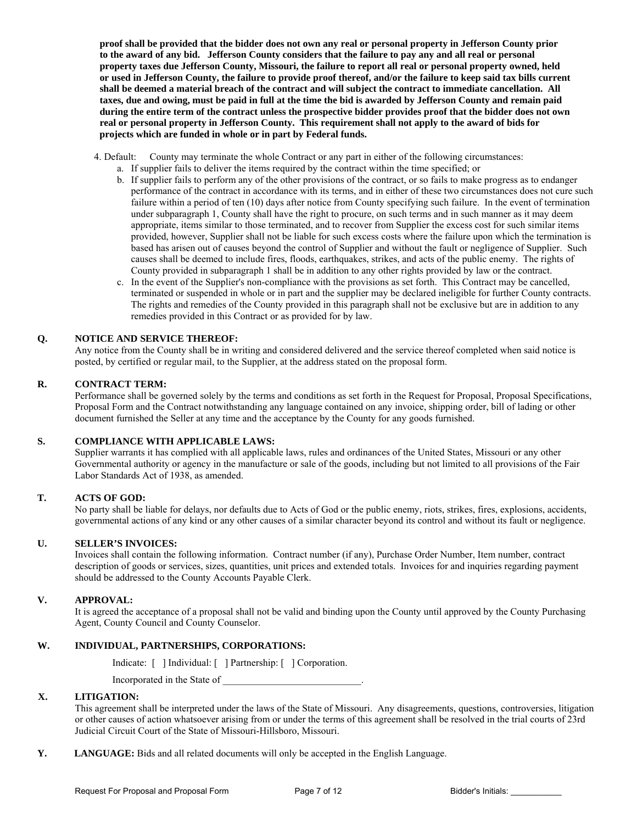**proof shall be provided that the bidder does not own any real or personal property in Jefferson County prior to the award of any bid. Jefferson County considers that the failure to pay any and all real or personal property taxes due Jefferson County, Missouri, the failure to report all real or personal property owned, held or used in Jefferson County, the failure to provide proof thereof, and/or the failure to keep said tax bills current shall be deemed a material breach of the contract and will subject the contract to immediate cancellation. All taxes, due and owing, must be paid in full at the time the bid is awarded by Jefferson County and remain paid during the entire term of the contract unless the prospective bidder provides proof that the bidder does not own real or personal property in Jefferson County. This requirement shall not apply to the award of bids for projects which are funded in whole or in part by Federal funds.** 

- 4. Default: County may terminate the whole Contract or any part in either of the following circumstances:
	- a. If supplier fails to deliver the items required by the contract within the time specified; or
		- b. If supplier fails to perform any of the other provisions of the contract, or so fails to make progress as to endanger performance of the contract in accordance with its terms, and in either of these two circumstances does not cure such failure within a period of ten (10) days after notice from County specifying such failure. In the event of termination under subparagraph 1, County shall have the right to procure, on such terms and in such manner as it may deem appropriate, items similar to those terminated, and to recover from Supplier the excess cost for such similar items provided, however, Supplier shall not be liable for such excess costs where the failure upon which the termination is based has arisen out of causes beyond the control of Supplier and without the fault or negligence of Supplier. Such causes shall be deemed to include fires, floods, earthquakes, strikes, and acts of the public enemy. The rights of County provided in subparagraph 1 shall be in addition to any other rights provided by law or the contract.
		- c. In the event of the Supplier's non-compliance with the provisions as set forth. This Contract may be cancelled, terminated or suspended in whole or in part and the supplier may be declared ineligible for further County contracts. The rights and remedies of the County provided in this paragraph shall not be exclusive but are in addition to any remedies provided in this Contract or as provided for by law.

#### **Q. NOTICE AND SERVICE THEREOF:**

Any notice from the County shall be in writing and considered delivered and the service thereof completed when said notice is posted, by certified or regular mail, to the Supplier, at the address stated on the proposal form.

#### **R. CONTRACT TERM:**

Performance shall be governed solely by the terms and conditions as set forth in the Request for Proposal, Proposal Specifications, Proposal Form and the Contract notwithstanding any language contained on any invoice, shipping order, bill of lading or other document furnished the Seller at any time and the acceptance by the County for any goods furnished.

#### **S. COMPLIANCE WITH APPLICABLE LAWS:**

Supplier warrants it has complied with all applicable laws, rules and ordinances of the United States, Missouri or any other Governmental authority or agency in the manufacture or sale of the goods, including but not limited to all provisions of the Fair Labor Standards Act of 1938, as amended.

#### **T. ACTS OF GOD:**

No party shall be liable for delays, nor defaults due to Acts of God or the public enemy, riots, strikes, fires, explosions, accidents, governmental actions of any kind or any other causes of a similar character beyond its control and without its fault or negligence.

#### **U. SELLER'S INVOICES:**

Invoices shall contain the following information. Contract number (if any), Purchase Order Number, Item number, contract description of goods or services, sizes, quantities, unit prices and extended totals. Invoices for and inquiries regarding payment should be addressed to the County Accounts Payable Clerk.

#### **V. APPROVAL:**

It is agreed the acceptance of a proposal shall not be valid and binding upon the County until approved by the County Purchasing Agent, County Council and County Counselor.

#### **W. INDIVIDUAL, PARTNERSHIPS, CORPORATIONS:**

Indicate: [ ] Individual: [ ] Partnership: [ ] Corporation.

Incorporated in the State of

#### **X. LITIGATION:**

This agreement shall be interpreted under the laws of the State of Missouri. Any disagreements, questions, controversies, litigation or other causes of action whatsoever arising from or under the terms of this agreement shall be resolved in the trial courts of 23rd Judicial Circuit Court of the State of Missouri-Hillsboro, Missouri.

**Y. LANGUAGE:** Bids and all related documents will only be accepted in the English Language.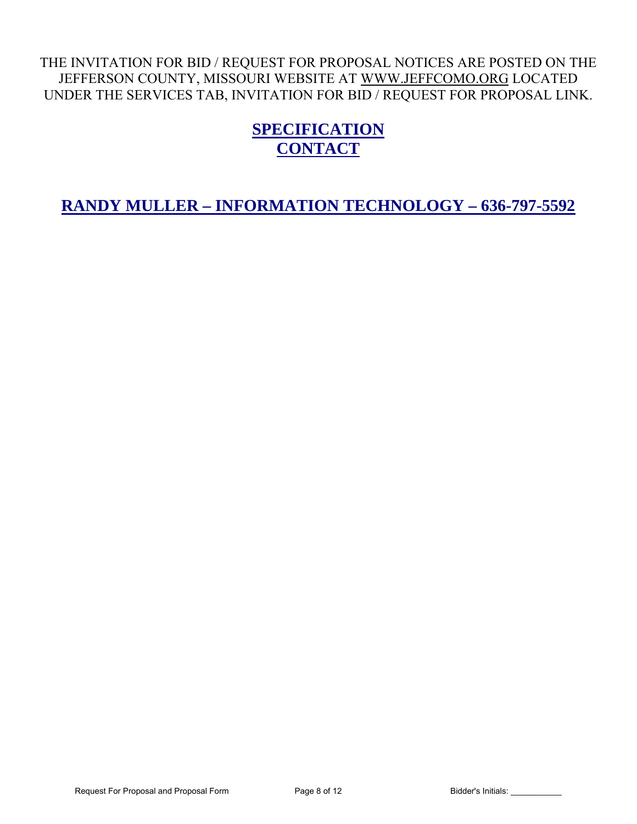# THE INVITATION FOR BID / REQUEST FOR PROPOSAL NOTICES ARE POSTED ON THE JEFFERSON COUNTY, MISSOURI WEBSITE AT WWW.JEFFCOMO.ORG LOCATED UNDER THE SERVICES TAB, INVITATION FOR BID / REQUEST FOR PROPOSAL LINK.

# **SPECIFICATION CONTACT**

**RANDY MULLER – INFORMATION TECHNOLOGY – 636-797-5592**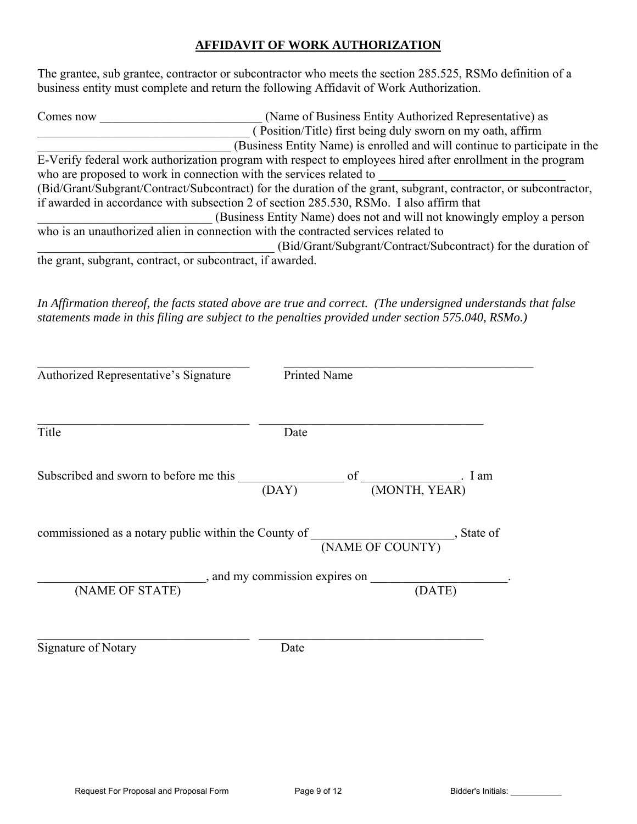## **AFFIDAVIT OF WORK AUTHORIZATION**

The grantee, sub grantee, contractor or subcontractor who meets the section 285.525, RSMo definition of a business entity must complete and return the following Affidavit of Work Authorization.

| Comes now | (Name of Business Entity Authorized Representative) as                                                           |
|-----------|------------------------------------------------------------------------------------------------------------------|
|           | (Position/Title) first being duly sworn on my oath, affirm                                                       |
|           | (Business Entity Name) is enrolled and will continue to participate in the                                       |
|           | E-Verify federal work authorization program with respect to employees hired after enrollment in the program      |
|           | who are proposed to work in connection with the services related to                                              |
|           | (Bid/Grant/Subgrant/Contract/Subcontract) for the duration of the grant, subgrant, contractor, or subcontractor, |
|           | if awarded in accordance with subsection 2 of section 285.530, RSMo. I also affirm that                          |
|           | (Business Entity Name) does not and will not knowingly employ a person                                           |
|           | who is an unauthorized alien in connection with the contracted services related to                               |
|           | (Bid/Grant/Subgrant/Contract/Subcontract) for the duration of                                                    |
|           | the grant, subgrant, contract, or subcontract, if awarded.                                                       |

*In Affirmation thereof, the facts stated above are true and correct. (The undersigned understands that false statements made in this filing are subject to the penalties provided under section 575.040, RSMo.)* 

| Authorized Representative's Signature                                                                                        | Printed Name                               |        |  |
|------------------------------------------------------------------------------------------------------------------------------|--------------------------------------------|--------|--|
| Title                                                                                                                        | Date                                       |        |  |
| Subscribed and sworn to before me this $\frac{\overline{\text{OAY}}}{}$ of $\frac{\overline{\text{OAV}}}{\text{OAV}}$ . I am |                                            |        |  |
| commissioned as a notary public within the County of $\frac{1}{N_\text{NME OF COUNTY}}$ , State of                           |                                            |        |  |
| (NAME OF STATE)                                                                                                              | $\rightarrow$ and my commission expires on | (DATE) |  |
| Signature of Notary                                                                                                          | Date                                       |        |  |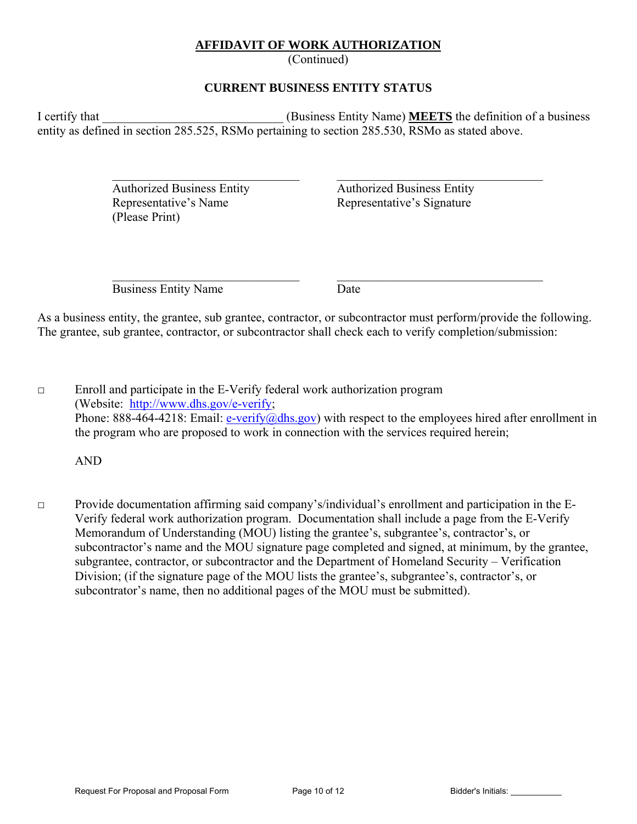### **AFFIDAVIT OF WORK AUTHORIZATION**

(Continued)

### **CURRENT BUSINESS ENTITY STATUS**

I certify that **I** certify that **I** certify that **I** certify that **I** certify that **I** certify that **I** certify that **I** certify that **I** certify that **I** certify that **I** certify that **I** certify that **I** certify that **I** entity as defined in section 285.525, RSMo pertaining to section 285.530, RSMo as stated above.

 $\mathcal{L}_\text{max} = \frac{1}{2} \sum_{i=1}^n \mathcal{L}_\text{max}(\mathbf{z}_i - \mathbf{z}_i)$ 

 Authorized Business Entity Authorized Business Entity Representative's Name Representative's Signature (Please Print)

Business Entity Name Date

 $\mathcal{L}_\mathcal{L} = \mathcal{L}_\mathcal{L} = \mathcal{L}_\mathcal{L} = \mathcal{L}_\mathcal{L} = \mathcal{L}_\mathcal{L} = \mathcal{L}_\mathcal{L} = \mathcal{L}_\mathcal{L} = \mathcal{L}_\mathcal{L} = \mathcal{L}_\mathcal{L} = \mathcal{L}_\mathcal{L} = \mathcal{L}_\mathcal{L} = \mathcal{L}_\mathcal{L} = \mathcal{L}_\mathcal{L} = \mathcal{L}_\mathcal{L} = \mathcal{L}_\mathcal{L} = \mathcal{L}_\mathcal{L} = \mathcal{L}_\mathcal{L}$ 

As a business entity, the grantee, sub grantee, contractor, or subcontractor must perform/provide the following. The grantee, sub grantee, contractor, or subcontractor shall check each to verify completion/submission:

 $\Box$  Enroll and participate in the E-Verify federal work authorization program (Website: http://www.dhs.gov/e-verify; Phone: 888-464-4218: Email:  $e$ -verify@dhs.gov) with respect to the employees hired after enrollment in the program who are proposed to work in connection with the services required herein;

AND

□ Provide documentation affirming said company's/individual's enrollment and participation in the E-Verify federal work authorization program. Documentation shall include a page from the E-Verify Memorandum of Understanding (MOU) listing the grantee's, subgrantee's, contractor's, or subcontractor's name and the MOU signature page completed and signed, at minimum, by the grantee, subgrantee, contractor, or subcontractor and the Department of Homeland Security – Verification Division; (if the signature page of the MOU lists the grantee's, subgrantee's, contractor's, or subcontrator's name, then no additional pages of the MOU must be submitted).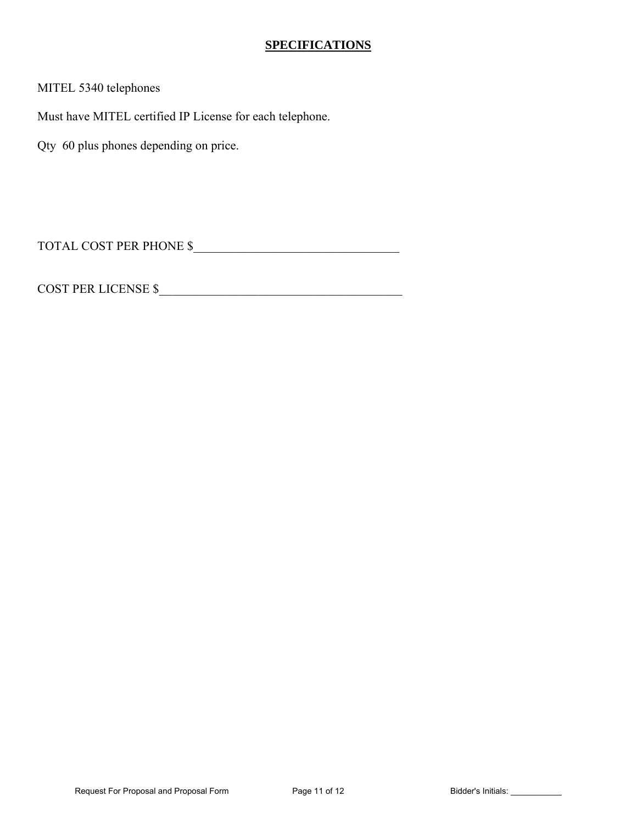### **SPECIFICATIONS**

MITEL 5340 telephones

Must have MITEL certified IP License for each telephone.

Qty 60 plus phones depending on price.

TOTAL COST PER PHONE \$\_\_\_\_\_\_\_\_\_\_\_\_\_\_\_\_\_\_\_\_\_\_\_\_\_\_\_\_\_\_\_\_\_

COST PER LICENSE \$\_\_\_\_\_\_\_\_\_\_\_\_\_\_\_\_\_\_\_\_\_\_\_\_\_\_\_\_\_\_\_\_\_\_\_\_\_\_\_